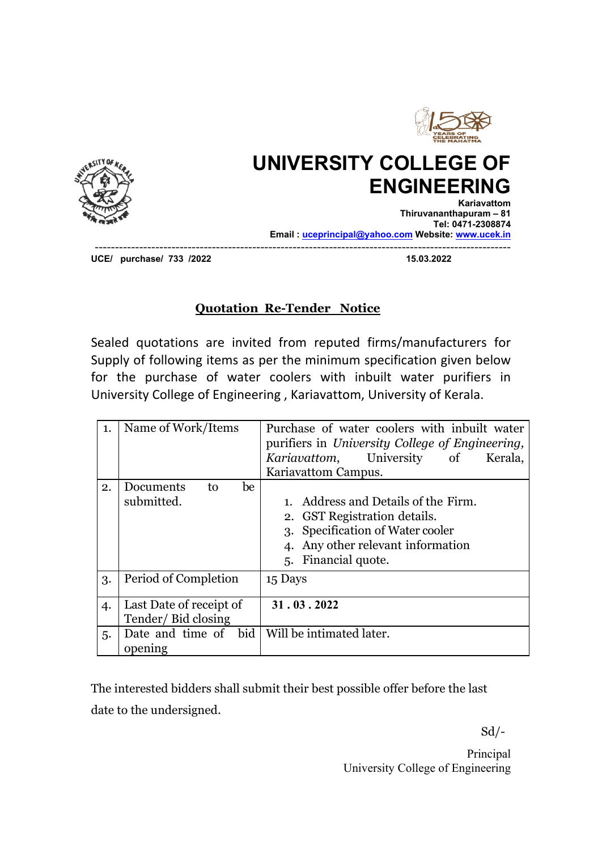

## **UNIVERSITY COLLEGE OF ENGINEERING**



**Kariavattom Thiruvananthapuram – 81 Tel: 0471-2308874 Email : uceprincipal@yahoo.com Website: www.ucek.in**

-------------------------------------------------------------------------------------------------------

**UCE/** purchase/ 733 /2022

## **Quotation Re-Tender Notice**

Sealed quotations are invited from reputed firms/manufacturers for Supply of following items as per the minimum specification given below for the purchase of water coolers with inbuilt water purifiers in University College of Engineering , Kariavattom, University of Kerala.

| 1.<br>2. | Name of Work/Items<br>Documents<br>to<br>be<br>submitted. | Purchase of water coolers with inbuilt water<br>purifiers in University College of Engineering,<br>Kariavattom,<br>University of<br>Kerala,<br>Kariavattom Campus.<br>Address and Details of the Firm.<br>2. GST Registration details.<br>3. Specification of Water cooler<br>Any other relevant information<br>5. Financial quote. |
|----------|-----------------------------------------------------------|-------------------------------------------------------------------------------------------------------------------------------------------------------------------------------------------------------------------------------------------------------------------------------------------------------------------------------------|
| 3.       | Period of Completion                                      | 15 Days                                                                                                                                                                                                                                                                                                                             |
| 4.       | Last Date of receipt of<br>Tender/Bid closing             | 31.03.2022                                                                                                                                                                                                                                                                                                                          |
| 5.       | bid<br>Date and time of<br>opening                        | Will be intimated later.                                                                                                                                                                                                                                                                                                            |

The interested bidders shall submit their best possible offer before the last date to the undersigned.

 $Sd$ <sup>-</sup>

Principal University College of Engineering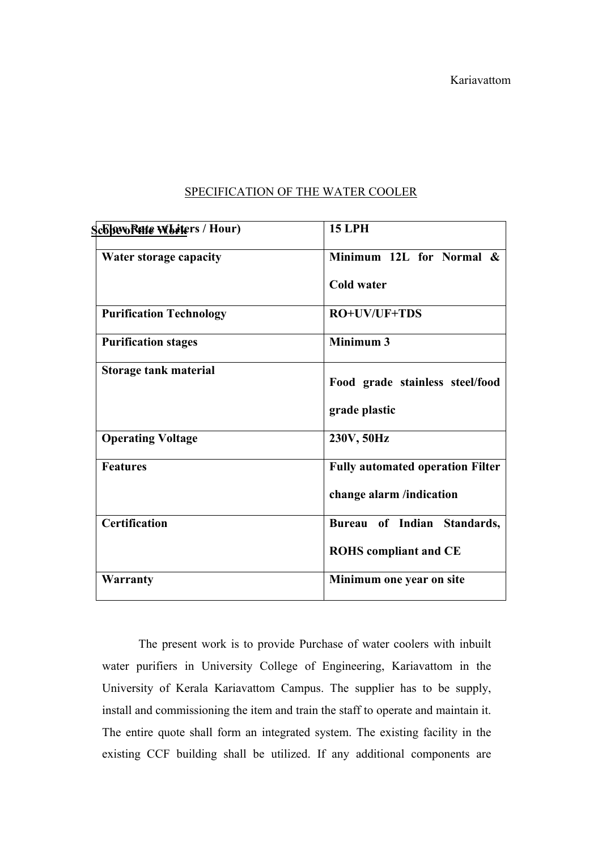| ScolovoRette Whiters / Hour)   | <b>15 LPH</b>                           |
|--------------------------------|-----------------------------------------|
| Water storage capacity         | Minimum 12L for Normal &                |
|                                | Cold water                              |
| <b>Purification Technology</b> | RO+UV/UF+TDS                            |
| <b>Purification stages</b>     | Minimum 3                               |
| <b>Storage tank material</b>   | Food grade stainless steel/food         |
|                                | grade plastic                           |
| <b>Operating Voltage</b>       | 230V, 50Hz                              |
| <b>Features</b>                | <b>Fully automated operation Filter</b> |
|                                | change alarm /indication                |
| <b>Certification</b>           | Bureau of Indian Standards,             |
|                                | <b>ROHS</b> compliant and CE            |
| Warranty                       | Minimum one year on site                |
|                                |                                         |

## SPECIFICATION OF THE WATER COOLER

The present work is to provide Purchase of water coolers with inbuilt water purifiers in University College of Engineering, Kariavattom in the University of Kerala Kariavattom Campus. The supplier has to be supply, install and commissioning the item and train the staff to operate and maintain it. The entire quote shall form an integrated system. The existing facility in the existing CCF building shall be utilized. If any additional components are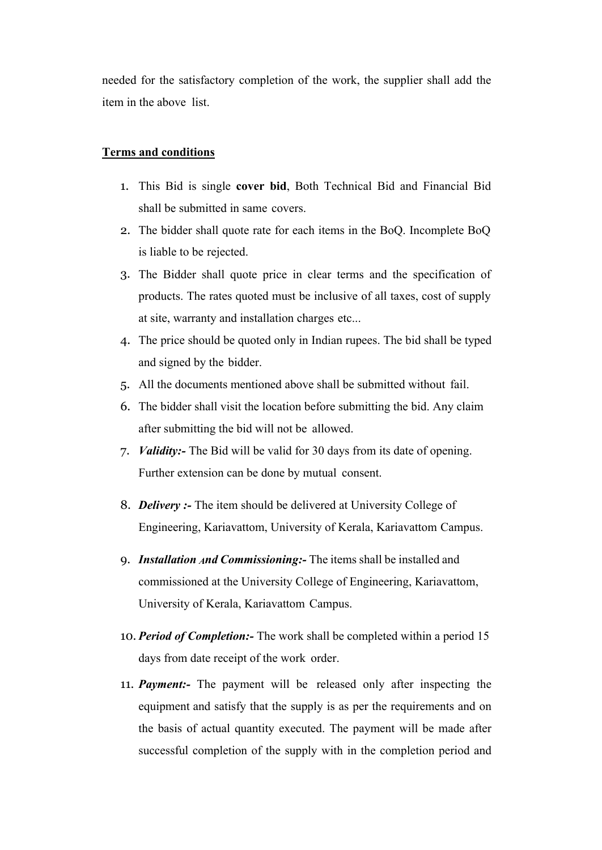needed for the satisfactory completion of the work, the supplier shall add the item in the above list.

## **Terms and conditions**

- 1. This Bid is single **cover bid**, Both Technical Bid and Financial Bid shall be submitted in same covers.
- 2. The bidder shall quote rate for each items in the BoQ. Incomplete BoQ is liable to be rejected.
- 3. The Bidder shall quote price in clear terms and the specification of products. The rates quoted must be inclusive of all taxes, cost of supply at site, warranty and installation charges etc...
- 4. The price should be quoted only in Indian rupees. The bid shall be typed and signed by the bidder.
- 5. All the documents mentioned above shall be submitted without fail.
- 6. The bidder shall visit the location before submitting the bid. Any claim after submitting the bid will not be allowed.
- 7. *Validity:-* The Bid will be valid for 30 days from its date of opening. Further extension can be done by mutual consent.
- 8. *Delivery :-* The item should be delivered at University College of Engineering, Kariavattom, University of Kerala, Kariavattom Campus.
- 9. *Installation And Commissioning*: The items shall be installed and commissioned at the University College of Engineering, Kariavattom, University of Kerala, Kariavattom Campus.
- 10. *Period of Completion:-* The work shall be completed within a period 15 days from date receipt of the work order.
- 11. *Payment:-* The payment will be released only after inspecting the equipment and satisfy that the supply is as per the requirements and on the basis of actual quantity executed. The payment will be made after successful completion of the supply with in the completion period and